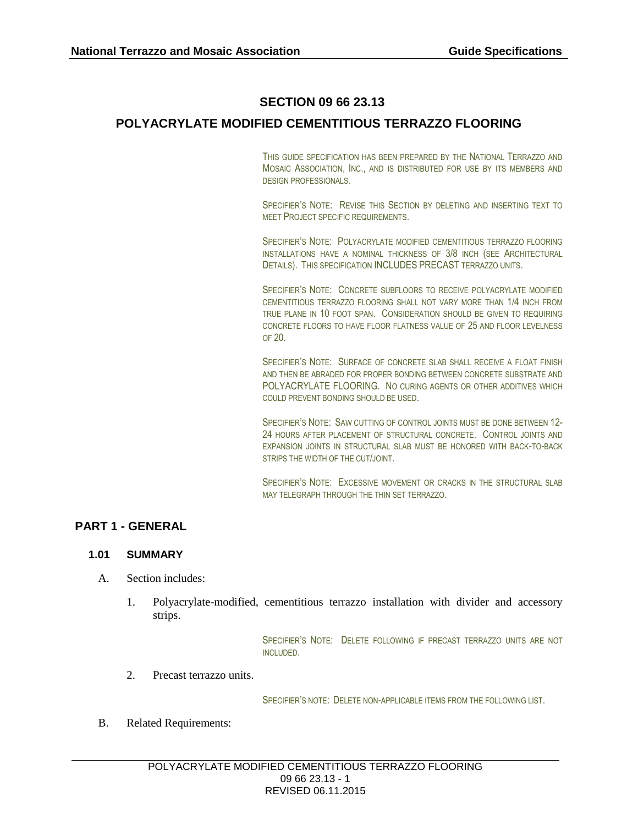# **SECTION 09 66 23.13**

# **POLYACRYLATE MODIFIED CEMENTITIOUS TERRAZZO FLOORING**

THIS GUIDE SPECIFICATION HAS BEEN PREPARED BY THE NATIONAL TERRAZZO AND MOSAIC ASSOCIATION, INC., AND IS DISTRIBUTED FOR USE BY ITS MEMBERS AND DESIGN PROFESSIONALS.

SPECIFIER'S NOTE: REVISE THIS SECTION BY DELETING AND INSERTING TEXT TO MEET PROJECT SPECIFIC REQUIREMENTS.

SPECIFIER'S NOTE: POLYACRYLATE MODIFIED CEMENTITIOUS TERRAZZO FLOORING INSTALLATIONS HAVE A NOMINAL THICKNESS OF 3/8 INCH (SEE ARCHITECTURAL DETAILS). THIS SPECIFICATION INCLUDES PRECAST TERRAZZO UNITS.

SPECIFIER'S NOTE: CONCRETE SUBFLOORS TO RECEIVE POLYACRYLATE MODIFIED CEMENTITIOUS TERRAZZO FLOORING SHALL NOT VARY MORE THAN 1/4 INCH FROM TRUE PLANE IN 10 FOOT SPAN. CONSIDERATION SHOULD BE GIVEN TO REQUIRING CONCRETE FLOORS TO HAVE FLOOR FLATNESS VALUE OF 25 AND FLOOR LEVELNESS OF 20.

SPECIFIER'S NOTE: SURFACE OF CONCRETE SLAB SHALL RECEIVE A FLOAT FINISH AND THEN BE ABRADED FOR PROPER BONDING BETWEEN CONCRETE SUBSTRATE AND POLYACRYLATE FLOORING. NO CURING AGENTS OR OTHER ADDITIVES WHICH COULD PREVENT BONDING SHOULD BE USED.

SPECIFIER'S NOTE: SAW CUTTING OF CONTROL JOINTS MUST BE DONE BETWEEN 12- 24 HOURS AFTER PLACEMENT OF STRUCTURAL CONCRETE. CONTROL JOINTS AND EXPANSION JOINTS IN STRUCTURAL SLAB MUST BE HONORED WITH BACK-TO-BACK STRIPS THE WIDTH OF THE CUT/JOINT.

SPECIFIER'S NOTE: EXCESSIVE MOVEMENT OR CRACKS IN THE STRUCTURAL SLAB MAY TELEGRAPH THROUGH THE THIN SET TERRAZZO.

# **PART 1 - GENERAL**

### **1.01 SUMMARY**

- A. Section includes:
	- 1. Polyacrylate-modified, cementitious terrazzo installation with divider and accessory strips.

SPECIFIER'S NOTE: DELETE FOLLOWING IF PRECAST TERRAZZO UNITS ARE NOT INCLUDED.

2. Precast terrazzo units.

SPECIFIER'S NOTE: DELETE NON-APPLICABLE ITEMS FROM THE FOLLOWING LIST.

B. Related Requirements: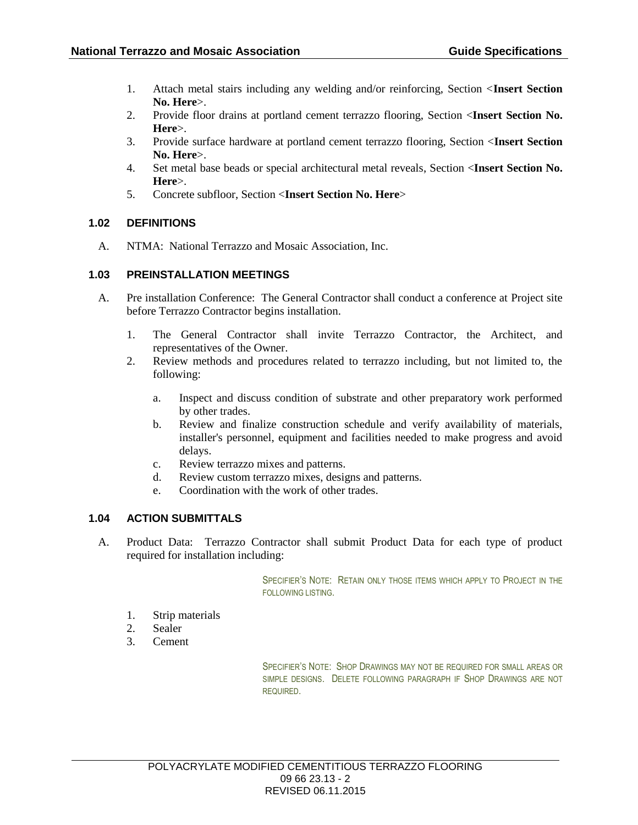- 1. Attach metal stairs including any welding and/or reinforcing, Section <**Insert Section No. Here**>.
- 2. Provide floor drains at portland cement terrazzo flooring, Section <**Insert Section No. Here**>.
- 3. Provide surface hardware at portland cement terrazzo flooring, Section <**Insert Section No. Here**>.
- 4. Set metal base beads or special architectural metal reveals, Section <**Insert Section No. Here**>.
- 5. Concrete subfloor, Section <**Insert Section No. Here**>

### **1.02 DEFINITIONS**

A. NTMA: National Terrazzo and Mosaic Association, Inc.

### **1.03 PREINSTALLATION MEETINGS**

- A. Pre installation Conference: The General Contractor shall conduct a conference at Project site before Terrazzo Contractor begins installation.
	- 1. The General Contractor shall invite Terrazzo Contractor, the Architect, and representatives of the Owner.
	- 2. Review methods and procedures related to terrazzo including, but not limited to, the following:
		- a. Inspect and discuss condition of substrate and other preparatory work performed by other trades.
		- b. Review and finalize construction schedule and verify availability of materials, installer's personnel, equipment and facilities needed to make progress and avoid delays.
		- c. Review terrazzo mixes and patterns.
		- d. Review custom terrazzo mixes, designs and patterns.
		- e. Coordination with the work of other trades.

### **1.04 ACTION SUBMITTALS**

A. Product Data: Terrazzo Contractor shall submit Product Data for each type of product required for installation including:

> SPECIFIER'S NOTE: RETAIN ONLY THOSE ITEMS WHICH APPLY TO PROJECT IN THE FOLLOWING LISTING.

- 1. Strip materials
- 2. Sealer
- 3. Cement

SPECIFIER'S NOTE: SHOP DRAWINGS MAY NOT BE REQUIRED FOR SMALL AREAS OR SIMPLE DESIGNS. DELETE FOLLOWING PARAGRAPH IF SHOP DRAWINGS ARE NOT REQUIRED.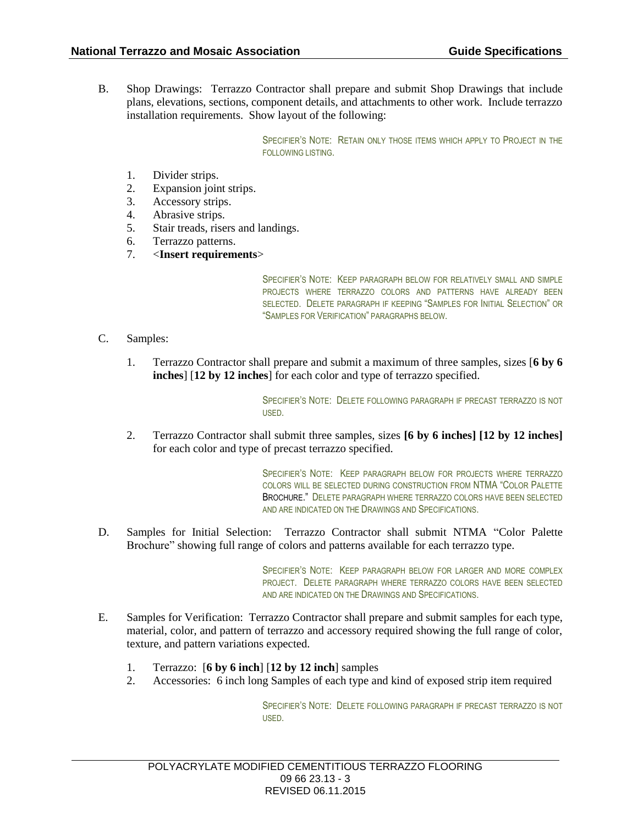B. Shop Drawings: Terrazzo Contractor shall prepare and submit Shop Drawings that include plans, elevations, sections, component details, and attachments to other work. Include terrazzo installation requirements. Show layout of the following:

> SPECIFIER'S NOTE: RETAIN ONLY THOSE ITEMS WHICH APPLY TO PROJECT IN THE FOLLOWING LISTING.

- 1. Divider strips.
- 2. Expansion joint strips.
- 3. Accessory strips.
- 4. Abrasive strips.
- 5. Stair treads, risers and landings.
- 6. Terrazzo patterns.
- 7. <**Insert requirements**>

SPECIFIER'S NOTE: KEEP PARAGRAPH BELOW FOR RELATIVELY SMALL AND SIMPLE PROJECTS WHERE TERRAZZO COLORS AND PATTERNS HAVE ALREADY BEEN SELECTED. DELETE PARAGRAPH IF KEEPING "SAMPLES FOR INITIAL SELECTION" OR "SAMPLES FOR VERIFICATION" PARAGRAPHS BELOW.

- C. Samples:
	- 1. Terrazzo Contractor shall prepare and submit a maximum of three samples, sizes [**6 by 6 inches**] [**12 by 12 inches**] for each color and type of terrazzo specified.

SPECIFIER'S NOTE: DELETE FOLLOWING PARAGRAPH IF PRECAST TERRAZZO IS NOT USED.

2. Terrazzo Contractor shall submit three samples, sizes **[6 by 6 inches] [12 by 12 inches]** for each color and type of precast terrazzo specified.

> SPECIFIER'S NOTE: KEEP PARAGRAPH BELOW FOR PROJECTS WHERE TERRAZZO COLORS WILL BE SELECTED DURING CONSTRUCTION FROM NTMA "COLOR PALETTE BROCHURE." DELETE PARAGRAPH WHERE TERRAZZO COLORS HAVE BEEN SELECTED AND ARE INDICATED ON THE DRAWINGS AND SPECIFICATIONS.

D. Samples for Initial Selection: Terrazzo Contractor shall submit NTMA "Color Palette Brochure" showing full range of colors and patterns available for each terrazzo type.

> SPECIFIER'S NOTE: KEEP PARAGRAPH BELOW FOR LARGER AND MORE COMPLEX PROJECT. DELETE PARAGRAPH WHERE TERRAZZO COLORS HAVE BEEN SELECTED AND ARE INDICATED ON THE DRAWINGS AND SPECIFICATIONS.

- E. Samples for Verification: Terrazzo Contractor shall prepare and submit samples for each type, material, color, and pattern of terrazzo and accessory required showing the full range of color, texture, and pattern variations expected.
	- 1. Terrazzo: [**6 by 6 inch**] [**12 by 12 inch**] samples
	- 2. Accessories: 6 inch long Samples of each type and kind of exposed strip item required

SPECIFIER'S NOTE: DELETE FOLLOWING PARAGRAPH IF PRECAST TERRAZZO IS NOT USED.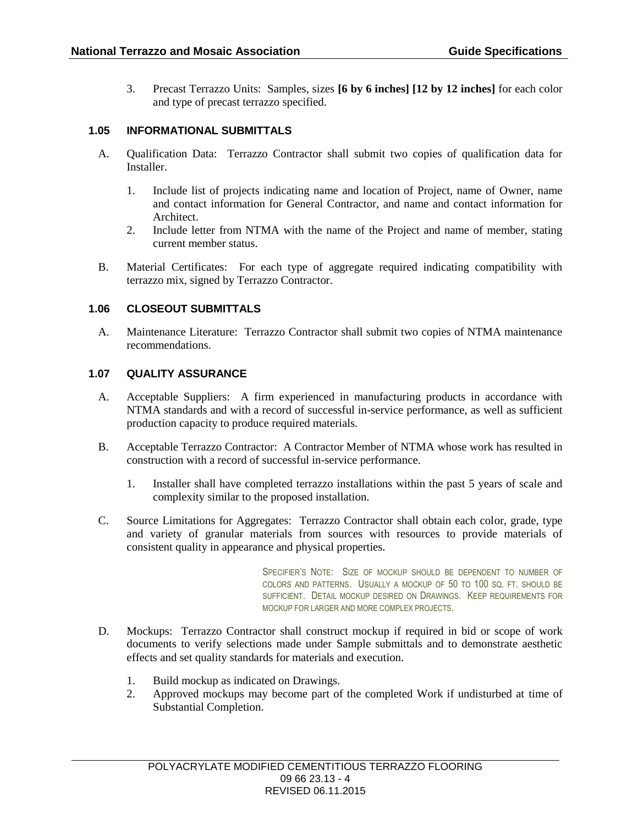3. Precast Terrazzo Units: Samples, sizes **[6 by 6 inches] [12 by 12 inches]** for each color and type of precast terrazzo specified.

### **1.05 INFORMATIONAL SUBMITTALS**

- A. Qualification Data: Terrazzo Contractor shall submit two copies of qualification data for Installer.
	- 1. Include list of projects indicating name and location of Project, name of Owner, name and contact information for General Contractor, and name and contact information for Architect.
	- 2. Include letter from NTMA with the name of the Project and name of member, stating current member status.
- B. Material Certificates: For each type of aggregate required indicating compatibility with terrazzo mix, signed by Terrazzo Contractor.

#### **1.06 CLOSEOUT SUBMITTALS**

A. Maintenance Literature: Terrazzo Contractor shall submit two copies of NTMA maintenance recommendations.

### **1.07 QUALITY ASSURANCE**

- A. Acceptable Suppliers: A firm experienced in manufacturing products in accordance with NTMA standards and with a record of successful in-service performance, as well as sufficient production capacity to produce required materials.
- B. Acceptable Terrazzo Contractor: A Contractor Member of NTMA whose work has resulted in construction with a record of successful in-service performance.
	- 1. Installer shall have completed terrazzo installations within the past 5 years of scale and complexity similar to the proposed installation.
- C. Source Limitations for Aggregates: Terrazzo Contractor shall obtain each color, grade, type and variety of granular materials from sources with resources to provide materials of consistent quality in appearance and physical properties.

SPECIFIER'S NOTE: SIZE OF MOCKUP SHOULD BE DEPENDENT TO NUMBER OF COLORS AND PATTERNS. USUALLY A MOCKUP OF 50 TO 100 SQ. FT. SHOULD BE SUFFICIENT. DETAIL MOCKUP DESIRED ON DRAWINGS. KEEP REQUIREMENTS FOR MOCKUP FOR LARGER AND MORE COMPLEX PROJECTS.

- D. Mockups: Terrazzo Contractor shall construct mockup if required in bid or scope of work documents to verify selections made under Sample submittals and to demonstrate aesthetic effects and set quality standards for materials and execution.
	- 1. Build mockup as indicated on Drawings.
	- 2. Approved mockups may become part of the completed Work if undisturbed at time of Substantial Completion.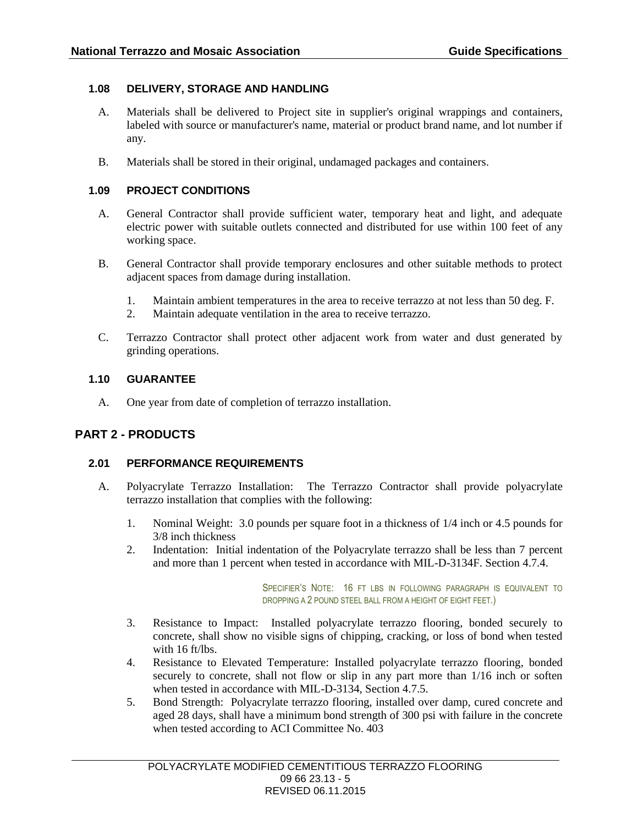## **1.08 DELIVERY, STORAGE AND HANDLING**

- A. Materials shall be delivered to Project site in supplier's original wrappings and containers, labeled with source or manufacturer's name, material or product brand name, and lot number if any.
- B. Materials shall be stored in their original, undamaged packages and containers.

### **1.09 PROJECT CONDITIONS**

- A. General Contractor shall provide sufficient water, temporary heat and light, and adequate electric power with suitable outlets connected and distributed for use within 100 feet of any working space.
- B. General Contractor shall provide temporary enclosures and other suitable methods to protect adjacent spaces from damage during installation.
	- 1. Maintain ambient temperatures in the area to receive terrazzo at not less than 50 deg. F.
	- 2. Maintain adequate ventilation in the area to receive terrazzo.
- C. Terrazzo Contractor shall protect other adjacent work from water and dust generated by grinding operations.

### **1.10 GUARANTEE**

A. One year from date of completion of terrazzo installation.

# **PART 2 - PRODUCTS**

### **2.01 PERFORMANCE REQUIREMENTS**

- A. Polyacrylate Terrazzo Installation: The Terrazzo Contractor shall provide polyacrylate terrazzo installation that complies with the following:
	- 1. Nominal Weight: 3.0 pounds per square foot in a thickness of 1/4 inch or 4.5 pounds for 3/8 inch thickness
	- 2. Indentation: Initial indentation of the Polyacrylate terrazzo shall be less than 7 percent and more than 1 percent when tested in accordance with MIL-D-3134F. Section 4.7.4.

SPECIFIER'S NOTE: 16 FT LBS IN FOLLOWING PARAGRAPH IS EQUIVALENT TO DROPPING A 2 POUND STEEL BALL FROM A HEIGHT OF EIGHT FEET.)

- 3. Resistance to Impact: Installed polyacrylate terrazzo flooring, bonded securely to concrete, shall show no visible signs of chipping, cracking, or loss of bond when tested with 16 ft/lbs.
- 4. Resistance to Elevated Temperature: Installed polyacrylate terrazzo flooring, bonded securely to concrete, shall not flow or slip in any part more than 1/16 inch or soften when tested in accordance with MIL-D-3134, Section 4.7.5.
- 5. Bond Strength: Polyacrylate terrazzo flooring, installed over damp, cured concrete and aged 28 days, shall have a minimum bond strength of 300 psi with failure in the concrete when tested according to ACI Committee No. 403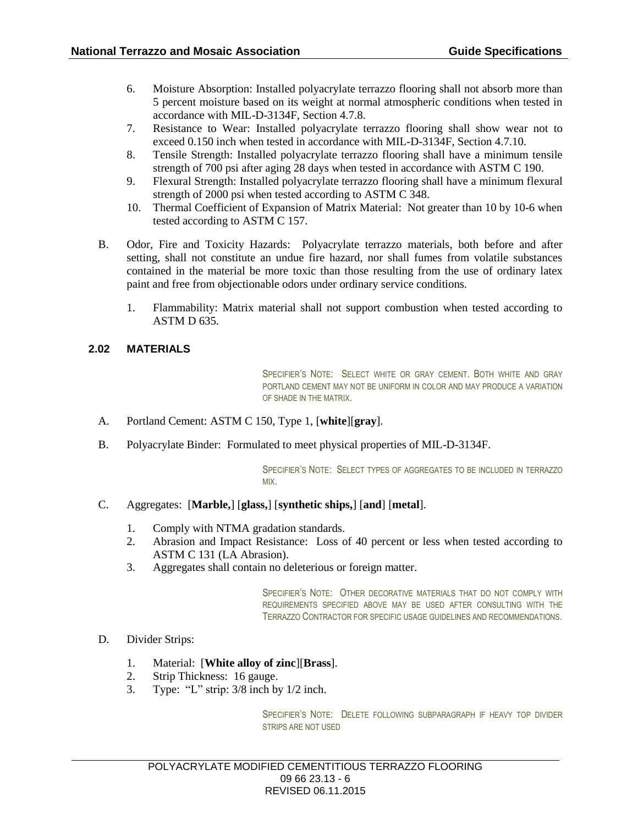- 6. Moisture Absorption: Installed polyacrylate terrazzo flooring shall not absorb more than 5 percent moisture based on its weight at normal atmospheric conditions when tested in accordance with MIL-D-3134F, Section 4.7.8.
- 7. Resistance to Wear: Installed polyacrylate terrazzo flooring shall show wear not to exceed 0.150 inch when tested in accordance with MIL-D-3134F, Section 4.7.10.
- 8. Tensile Strength: Installed polyacrylate terrazzo flooring shall have a minimum tensile strength of 700 psi after aging 28 days when tested in accordance with ASTM C 190.
- 9. Flexural Strength: Installed polyacrylate terrazzo flooring shall have a minimum flexural strength of 2000 psi when tested according to ASTM C 348.
- 10. Thermal Coefficient of Expansion of Matrix Material: Not greater than 10 by 10-6 when tested according to ASTM C 157.
- B. Odor, Fire and Toxicity Hazards: Polyacrylate terrazzo materials, both before and after setting, shall not constitute an undue fire hazard, nor shall fumes from volatile substances contained in the material be more toxic than those resulting from the use of ordinary latex paint and free from objectionable odors under ordinary service conditions.
	- 1. Flammability: Matrix material shall not support combustion when tested according to ASTM D 635.

### **2.02 MATERIALS**

SPECIFIER'S NOTE: SELECT WHITE OR GRAY CEMENT. BOTH WHITE AND GRAY PORTLAND CEMENT MAY NOT BE UNIFORM IN COLOR AND MAY PRODUCE A VARIATION OF SHADE IN THE MATRIX.

- A. Portland Cement: ASTM C 150, Type 1, [**white**][**gray**].
- B. Polyacrylate Binder: Formulated to meet physical properties of MIL-D-3134F.

SPECIFIER'S NOTE: SELECT TYPES OF AGGREGATES TO BE INCLUDED IN TERRAZZO MIX.

- C. Aggregates: [**Marble,**] [**glass,**] [**synthetic ships,**] [**and**] [**metal**].
	- 1. Comply with NTMA gradation standards.
	- 2. Abrasion and Impact Resistance: Loss of 40 percent or less when tested according to ASTM C 131 (LA Abrasion).
	- 3. Aggregates shall contain no deleterious or foreign matter.

SPECIFIER'S NOTE: OTHER DECORATIVE MATERIALS THAT DO NOT COMPLY WITH REQUIREMENTS SPECIFIED ABOVE MAY BE USED AFTER CONSULTING WITH THE TERRAZZO CONTRACTOR FOR SPECIFIC USAGE GUIDELINES AND RECOMMENDATIONS.

- D. Divider Strips:
	- 1. Material: [**White alloy of zinc**][**Brass**].
	- 2. Strip Thickness: 16 gauge.
	- 3. Type: "L" strip: 3/8 inch by 1/2 inch.

SPECIFIER'S NOTE: DELETE FOLLOWING SUBPARAGRAPH IF HEAVY TOP DIVIDER STRIPS ARE NOT USED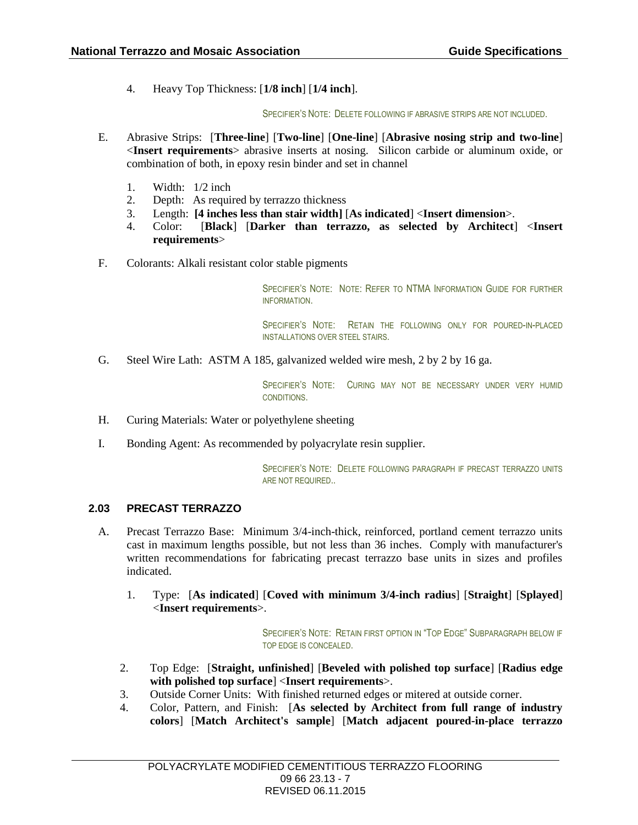4. Heavy Top Thickness: [**1/8 inch**] [**1/4 inch**].

SPECIFIER'S NOTE: DELETE FOLLOWING IF ABRASIVE STRIPS ARE NOT INCLUDED.

- E. Abrasive Strips: [**Three-line**] [**Two-line**] [**One-line**] [**Abrasive nosing strip and two-line**] <**Insert requirements**> abrasive inserts at nosing. Silicon carbide or aluminum oxide, or combination of both, in epoxy resin binder and set in channel
	- 1. Width: 1/2 inch
	- 2. Depth: As required by terrazzo thickness
	- 3. Length: **[4 inches less than stair width]** [**As indicated**] <**Insert dimension**>.
	- 4. Color: [**Black**] [**Darker than terrazzo, as selected by Architect**] <**Insert requirements**>
- F. Colorants: Alkali resistant color stable pigments

SPECIFIER'S NOTE: NOTE: REFER TO NTMA INFORMATION GUIDE FOR FURTHER INFORMATION.

SPECIFIER'S NOTE: RETAIN THE FOLLOWING ONLY FOR POURED-IN-PLACED INSTALLATIONS OVER STEEL STAIRS.

G. Steel Wire Lath: ASTM A 185, galvanized welded wire mesh, 2 by 2 by 16 ga.

SPECIFIER'S NOTE: CURING MAY NOT BE NECESSARY UNDER VERY HUMID CONDITIONS.

- H. Curing Materials: Water or polyethylene sheeting
- I. Bonding Agent: As recommended by polyacrylate resin supplier.

SPECIFIER'S NOTE: DELETE FOLLOWING PARAGRAPH IF PRECAST TERRAZZO UNITS ARE NOT REQUIRED..

### **2.03 PRECAST TERRAZZO**

- A. Precast Terrazzo Base: Minimum 3/4-inch-thick, reinforced, portland cement terrazzo units cast in maximum lengths possible, but not less than 36 inches. Comply with manufacturer's written recommendations for fabricating precast terrazzo base units in sizes and profiles indicated.
	- 1. Type: [**As indicated**] [**Coved with minimum 3/4-inch radius**] [**Straight**] [**Splayed**] <**Insert requirements**>.

SPECIFIER'S NOTE: RETAIN FIRST OPTION IN "TOP EDGE" SUBPARAGRAPH BELOW IF TOP EDGE IS CONCEALED.

- 2. Top Edge: [**Straight, unfinished**] [**Beveled with polished top surface**] [**Radius edge with polished top surface**] <**Insert requirements**>.
- 3. Outside Corner Units: With finished returned edges or mitered at outside corner.
- 4. Color, Pattern, and Finish: [**As selected by Architect from full range of industry colors**] [**Match Architect's sample**] [**Match adjacent poured-in-place terrazzo**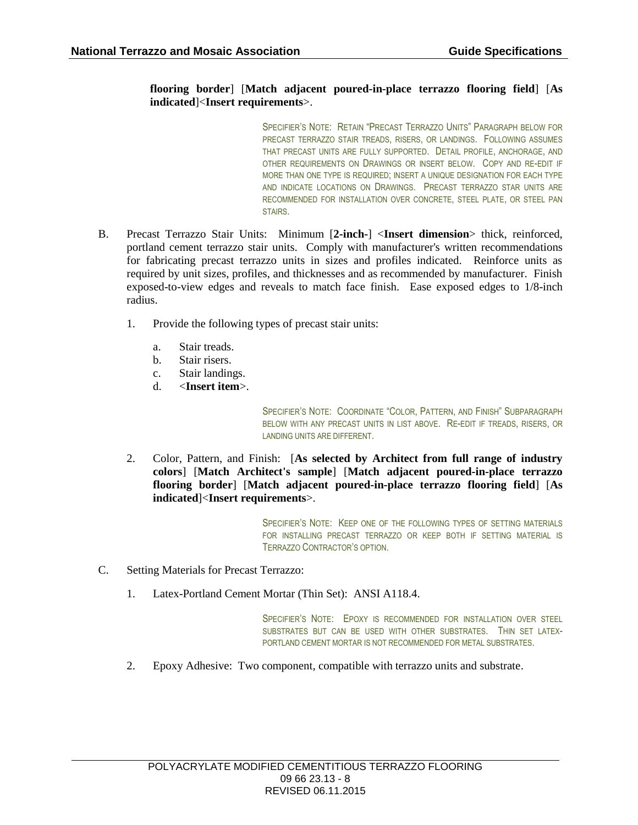### **flooring border**] [**Match adjacent poured-in-place terrazzo flooring field**] [**As indicated**]<**Insert requirements**>.

SPECIFIER'S NOTE: RETAIN "PRECAST TERRAZZO UNITS" PARAGRAPH BELOW FOR PRECAST TERRAZZO STAIR TREADS, RISERS, OR LANDINGS. FOLLOWING ASSUMES THAT PRECAST UNITS ARE FULLY SUPPORTED. DETAIL PROFILE, ANCHORAGE, AND OTHER REQUIREMENTS ON DRAWINGS OR INSERT BELOW. COPY AND RE-EDIT IF MORE THAN ONE TYPE IS REQUIRED; INSERT A UNIQUE DESIGNATION FOR EACH TYPE AND INDICATE LOCATIONS ON DRAWINGS. PRECAST TERRAZZO STAR UNITS ARE RECOMMENDED FOR INSTALLATION OVER CONCRETE, STEEL PLATE, OR STEEL PAN STAIRS.

- B. Precast Terrazzo Stair Units: Minimum [**2-inch-**] <**Insert dimension**> thick, reinforced, portland cement terrazzo stair units. Comply with manufacturer's written recommendations for fabricating precast terrazzo units in sizes and profiles indicated. Reinforce units as required by unit sizes, profiles, and thicknesses and as recommended by manufacturer. Finish exposed-to-view edges and reveals to match face finish. Ease exposed edges to 1/8-inch radius.
	- 1. Provide the following types of precast stair units:
		- a. Stair treads.
		- b. Stair risers.
		- c. Stair landings.
		- d. <**Insert item**>.

SPECIFIER'S NOTE: COORDINATE "COLOR, PATTERN, AND FINISH" SUBPARAGRAPH BELOW WITH ANY PRECAST UNITS IN LIST ABOVE. RE-EDIT IF TREADS, RISERS, OR LANDING UNITS ARE DIFFERENT.

2. Color, Pattern, and Finish: [**As selected by Architect from full range of industry colors**] [**Match Architect's sample**] [**Match adjacent poured-in-place terrazzo flooring border**] [**Match adjacent poured-in-place terrazzo flooring field**] [**As indicated**]<**Insert requirements**>.

> SPECIFIER'S NOTE: KEEP ONE OF THE FOLLOWING TYPES OF SETTING MATERIALS FOR INSTALLING PRECAST TERRAZZO OR KEEP BOTH IF SETTING MATERIAL IS TERRAZZO CONTRACTOR'S OPTION.

- C. Setting Materials for Precast Terrazzo:
	- 1. Latex-Portland Cement Mortar (Thin Set): ANSI A118.4.

SPECIFIER'S NOTE: EPOXY IS RECOMMENDED FOR INSTALLATION OVER STEEL SUBSTRATES BUT CAN BE USED WITH OTHER SUBSTRATES. THIN SET LATEX-PORTLAND CEMENT MORTAR IS NOT RECOMMENDED FOR METAL SUBSTRATES.

2. Epoxy Adhesive: Two component, compatible with terrazzo units and substrate.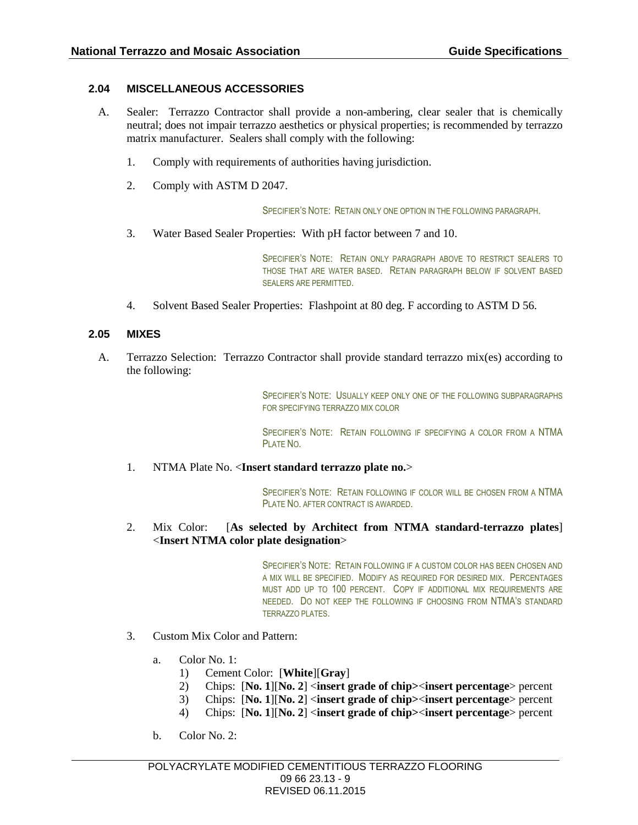### **2.04 MISCELLANEOUS ACCESSORIES**

- A. Sealer: Terrazzo Contractor shall provide a non-ambering, clear sealer that is chemically neutral; does not impair terrazzo aesthetics or physical properties; is recommended by terrazzo matrix manufacturer. Sealers shall comply with the following:
	- 1. Comply with requirements of authorities having jurisdiction.
	- 2. Comply with ASTM D 2047.

SPECIFIER'S NOTE: RETAIN ONLY ONE OPTION IN THE FOLLOWING PARAGRAPH.

3. Water Based Sealer Properties: With pH factor between 7 and 10.

SPECIFIER'S NOTE: RETAIN ONLY PARAGRAPH ABOVE TO RESTRICT SEALERS TO THOSE THAT ARE WATER BASED. RETAIN PARAGRAPH BELOW IF SOLVENT BASED SEALERS ARE PERMITTED.

4. Solvent Based Sealer Properties: Flashpoint at 80 deg. F according to ASTM D 56.

#### **2.05 MIXES**

A. Terrazzo Selection: Terrazzo Contractor shall provide standard terrazzo mix(es) according to the following:

> SPECIFIER'S NOTE: USUALLY KEEP ONLY ONE OF THE FOLLOWING SUBPARAGRAPHS FOR SPECIFYING TERRAZZO MIX COLOR

> SPECIFIER'S NOTE: RETAIN FOLLOWING IF SPECIFYING A COLOR FROM A NTMA PLATE NO.

1. NTMA Plate No. <**Insert standard terrazzo plate no.**>

SPECIFIER'S NOTE: RETAIN FOLLOWING IF COLOR WILL BE CHOSEN FROM A NTMA PLATE NO. AFTER CONTRACT IS AWARDED.

2. Mix Color: [**As selected by Architect from NTMA standard-terrazzo plates**] <**Insert NTMA color plate designation**>

> SPECIFIER'S NOTE: RETAIN FOLLOWING IF A CUSTOM COLOR HAS BEEN CHOSEN AND A MIX WILL BE SPECIFIED. MODIFY AS REQUIRED FOR DESIRED MIX. PERCENTAGES MUST ADD UP TO 100 PERCENT. COPY IF ADDITIONAL MIX REQUIREMENTS ARE NEEDED. DO NOT KEEP THE FOLLOWING IF CHOOSING FROM NTMA'S STANDARD TERRAZZO PLATES.

- 3. Custom Mix Color and Pattern:
	- a. Color No. 1:
		- 1) Cement Color: [**White**][**Gray**]
		- 2) Chips: [**No. 1**][**No. 2**] <**insert grade of chip>**<**insert percentage**> percent
		- 3) Chips: [**No. 1**][**No. 2**] <**insert grade of chip>**<**insert percentage**> percent
		- 4) Chips: [**No. 1**][**No. 2**] <**insert grade of chip>**<**insert percentage**> percent
	- b. Color No. 2: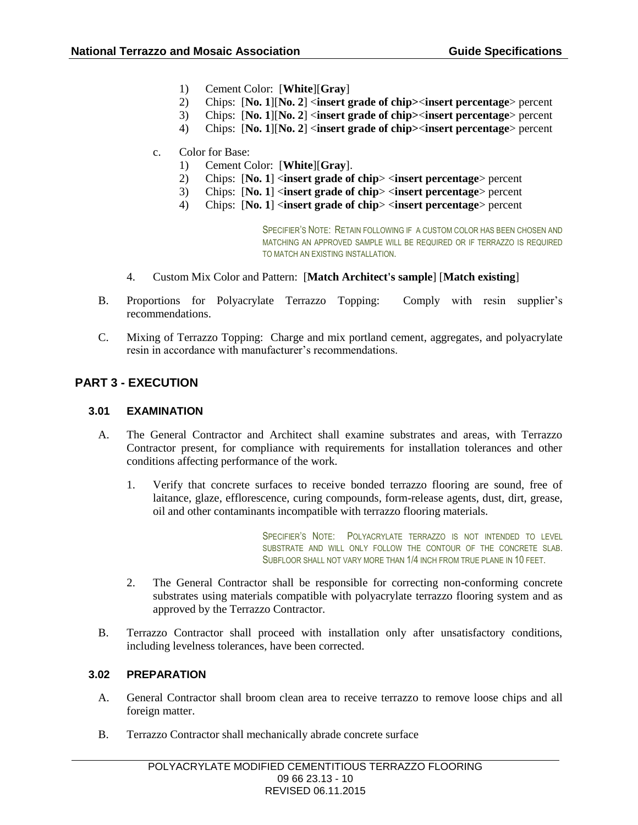- 1) Cement Color: [**White**][**Gray**]
- 2) Chips: [**No. 1**][**No. 2**] <**insert grade of chip>**<**insert percentage**> percent
- 3) Chips: [**No. 1**][**No. 2**] <**insert grade of chip>**<**insert percentage**> percent
- 4) Chips: [**No. 1**][**No. 2**] <**insert grade of chip>**<**insert percentage**> percent
- c. Color for Base:
	- 1) Cement Color: [**White**][**Gray**].
	- 2) Chips: [**No. 1**] <**insert grade of chip**> <**insert percentage**> percent
	- 3) Chips: [**No. 1**] <**insert grade of chip**> <**insert percentage**> percent
	- 4) Chips: [**No. 1**] <**insert grade of chip**> <**insert percentage**> percent

SPECIFIER'S NOTE: RETAIN FOLLOWING IF A CUSTOM COLOR HAS BEEN CHOSEN AND MATCHING AN APPROVED SAMPLE WILL BE REQUIRED OR IF TERRAZZO IS REQUIRED TO MATCH AN EXISTING INSTALLATION.

- 4. Custom Mix Color and Pattern: [**Match Architect's sample**] [**Match existing**]
- B. Proportions for Polyacrylate Terrazzo Topping: Comply with resin supplier's recommendations.
- C. Mixing of Terrazzo Topping: Charge and mix portland cement, aggregates, and polyacrylate resin in accordance with manufacturer's recommendations.

### **PART 3 - EXECUTION**

#### **3.01 EXAMINATION**

- A. The General Contractor and Architect shall examine substrates and areas, with Terrazzo Contractor present, for compliance with requirements for installation tolerances and other conditions affecting performance of the work.
	- 1. Verify that concrete surfaces to receive bonded terrazzo flooring are sound, free of laitance, glaze, efflorescence, curing compounds, form-release agents, dust, dirt, grease, oil and other contaminants incompatible with terrazzo flooring materials.

SPECIFIER'S NOTE: POLYACRYLATE TERRAZZO IS NOT INTENDED TO LEVEL SUBSTRATE AND WILL ONLY FOLLOW THE CONTOUR OF THE CONCRETE SLAB. SUBFLOOR SHALL NOT VARY MORE THAN 1/4 INCH FROM TRUE PLANE IN 10 FEET.

- 2. The General Contractor shall be responsible for correcting non-conforming concrete substrates using materials compatible with polyacrylate terrazzo flooring system and as approved by the Terrazzo Contractor.
- B. Terrazzo Contractor shall proceed with installation only after unsatisfactory conditions, including levelness tolerances, have been corrected.

#### **3.02 PREPARATION**

- A. General Contractor shall broom clean area to receive terrazzo to remove loose chips and all foreign matter.
- B. Terrazzo Contractor shall mechanically abrade concrete surface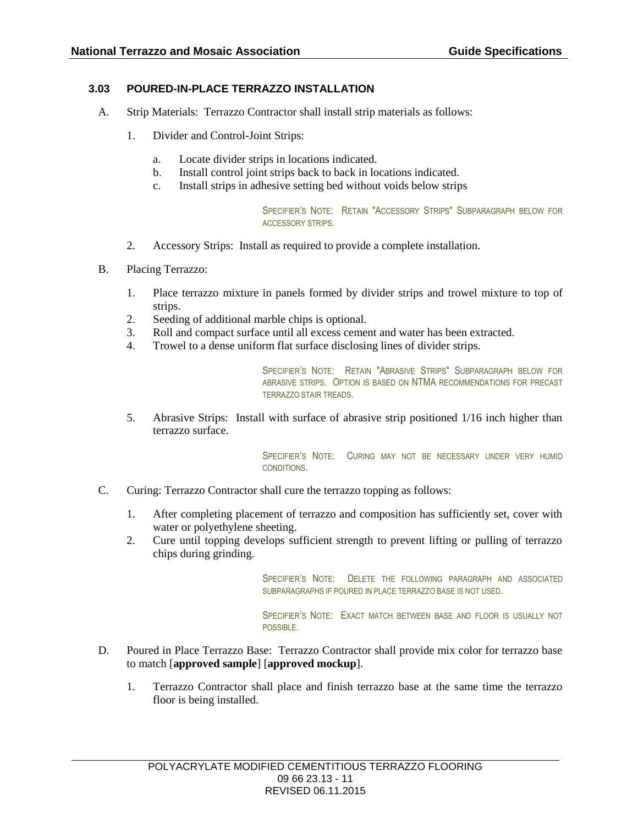## **3.03 POURED-IN-PLACE TERRAZZO INSTALLATION**

- A. Strip Materials: Terrazzo Contractor shall install strip materials as follows:
	- 1. Divider and Control-Joint Strips:
		- a. Locate divider strips in locations indicated.
		- b. Install control joint strips back to back in locations indicated.
		- c. Install strips in adhesive setting bed without voids below strips

SPECIFIER'S NOTE: RETAIN "ACCESSORY STRIPS" SUBPARAGRAPH BELOW FOR ACCESSORY STRIPS.

- 2. Accessory Strips: Install as required to provide a complete installation.
- B. Placing Terrazzo:
	- 1. Place terrazzo mixture in panels formed by divider strips and trowel mixture to top of strips.
	- 2. Seeding of additional marble chips is optional.
	- 3. Roll and compact surface until all excess cement and water has been extracted.
	- 4. Trowel to a dense uniform flat surface disclosing lines of divider strips.

SPECIFIER'S NOTE: RETAIN "ABRASIVE STRIPS" SUBPARAGRAPH BELOW FOR ABRASIVE STRIPS. OPTION IS BASED ON NTMA RECOMMENDATIONS FOR PRECAST TERRAZZO STAIR TREADS.

5. Abrasive Strips: Install with surface of abrasive strip positioned 1/16 inch higher than terrazzo surface.

> SPECIFIER'S NOTE: CURING MAY NOT BE NECESSARY UNDER VERY HUMID CONDITIONS.

- C. Curing: Terrazzo Contractor shall cure the terrazzo topping as follows:
	- 1. After completing placement of terrazzo and composition has sufficiently set, cover with water or polyethylene sheeting.
	- 2. Cure until topping develops sufficient strength to prevent lifting or pulling of terrazzo chips during grinding.

SPECIFIER'S NOTE: DELETE THE FOLLOWING PARAGRAPH AND ASSOCIATED SUBPARAGRAPHS IF POURED IN PLACE TERRAZZO BASE IS NOT USED.

SPECIFIER'S NOTE: EXACT MATCH BETWEEN BASE AND FLOOR IS USUALLY NOT POSSIBLE.

- D. Poured in Place Terrazzo Base: Terrazzo Contractor shall provide mix color for terrazzo base to match [**approved sample**] [**approved mockup**].
	- 1. Terrazzo Contractor shall place and finish terrazzo base at the same time the terrazzo floor is being installed.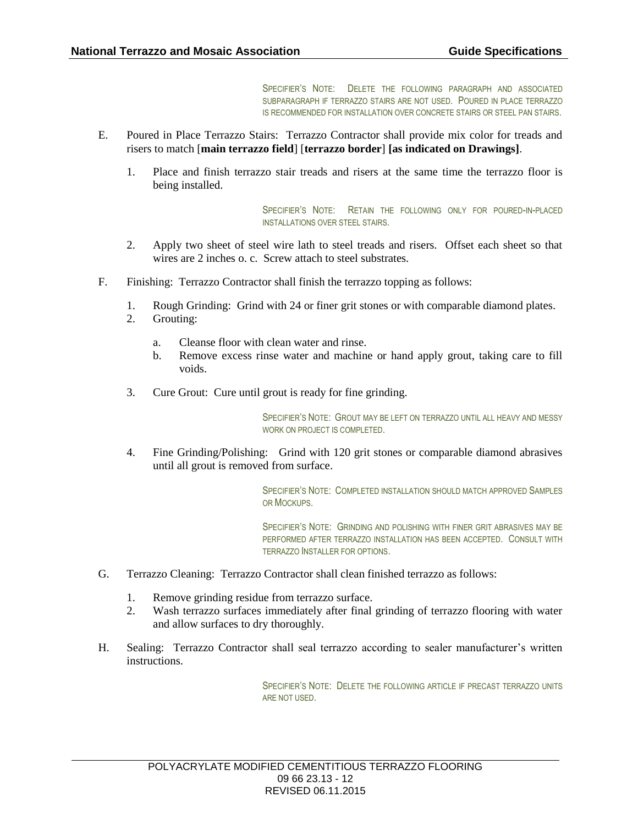SPECIFIER'S NOTE: DELETE THE FOLLOWING PARAGRAPH AND ASSOCIATED SUBPARAGRAPH IF TERRAZZO STAIRS ARE NOT USED. POURED IN PLACE TERRAZZO IS RECOMMENDED FOR INSTALLATION OVER CONCRETE STAIRS OR STEEL PAN STAIRS.

- E. Poured in Place Terrazzo Stairs: Terrazzo Contractor shall provide mix color for treads and risers to match [**main terrazzo field**] [**terrazzo border**] **[as indicated on Drawings]**.
	- 1. Place and finish terrazzo stair treads and risers at the same time the terrazzo floor is being installed.

SPECIFIER'S NOTE: RETAIN THE FOLLOWING ONLY FOR POURED-IN-PLACED INSTALLATIONS OVER STEEL STAIRS.

- 2. Apply two sheet of steel wire lath to steel treads and risers. Offset each sheet so that wires are 2 inches o. c. Screw attach to steel substrates.
- F. Finishing: Terrazzo Contractor shall finish the terrazzo topping as follows:
	- 1. Rough Grinding: Grind with 24 or finer grit stones or with comparable diamond plates.
	- 2. Grouting:
		- a. Cleanse floor with clean water and rinse.
		- b. Remove excess rinse water and machine or hand apply grout, taking care to fill voids.
	- 3. Cure Grout: Cure until grout is ready for fine grinding.

SPECIFIER'S NOTE: GROUT MAY BE LEFT ON TERRAZZO UNTIL ALL HEAVY AND MESSY WORK ON PROJECT IS COMPLETED.

4. Fine Grinding/Polishing: Grind with 120 grit stones or comparable diamond abrasives until all grout is removed from surface.

> SPECIFIER'S NOTE: COMPLETED INSTALLATION SHOULD MATCH APPROVED SAMPLES OR MOCKUPS.

> SPECIFIER'S NOTE: GRINDING AND POLISHING WITH FINER GRIT ABRASIVES MAY BE PERFORMED AFTER TERRAZZO INSTALLATION HAS BEEN ACCEPTED. CONSULT WITH TERRAZZO INSTALLER FOR OPTIONS.

- G. Terrazzo Cleaning: Terrazzo Contractor shall clean finished terrazzo as follows:
	- 1. Remove grinding residue from terrazzo surface.
	- 2. Wash terrazzo surfaces immediately after final grinding of terrazzo flooring with water and allow surfaces to dry thoroughly.
- H. Sealing: Terrazzo Contractor shall seal terrazzo according to sealer manufacturer's written instructions.

SPECIFIER'S NOTE: DELETE THE FOLLOWING ARTICLE IF PRECAST TERRAZZO UNITS ARE NOT USED.